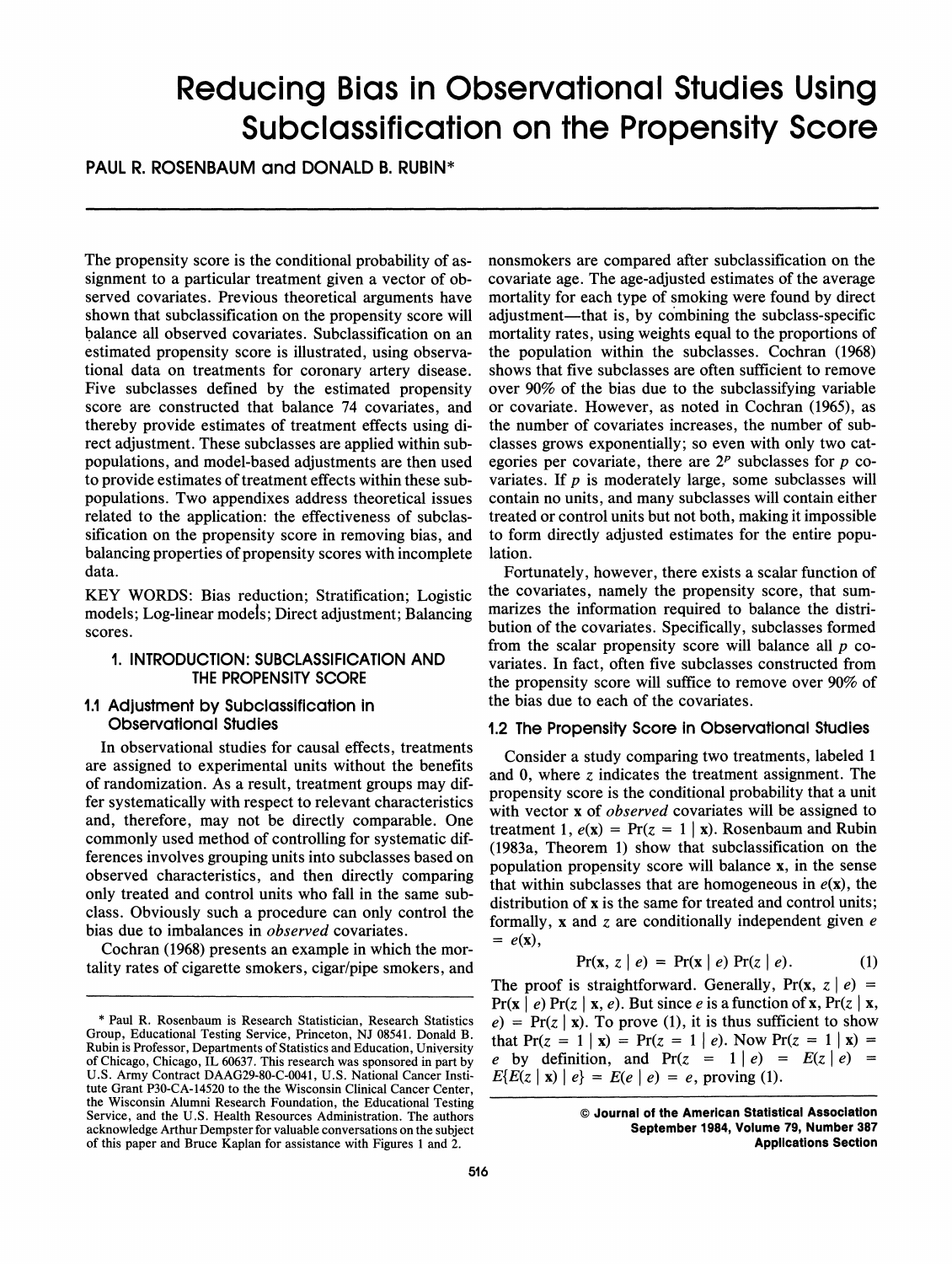# Reducing Bias in Observational Studies Using Subclassification on the Propensity Score

PAUL R. ROSENBAUM and DONALD B. RUBIN\*

The propensity score is the conditional probability of assignment to a particular treatment given a vector of observed covariates. Previous theoretical arguments have shown that subclassification on the propensity score will balance all observed covariates. Subclassification on an estimated propensity score is illustrated, using observational data on treatments for coronary artery disease. Five subclasses defined by the estimated propensity score are constructed that balance 74 covariates, and thereby provide estimates of treatment effects using direct adjustment. These subclasses are applied within subpopulations, and model-based adjustments are then used to provide estimates of treatment effects within these subpopulations. Two appendixes address theoretical issues related to the application: the effectiveness of subclassification on the propensity score in removing bias, and balancing properties of propensity scores with incomplete data.

KEY WORDS: Bias reduction; Stratification; Logistic models; Log-linear models; Direct adjustment; Balancing scores.

# **1.** INTRODUCTION: SUBCLASSIFICATION AND THE PROPENSITY SCORE

# 1.1 Adjustment by Subclassification in Observational Studies

In observational studies for causal effects, treatments are assigned to experimental units without the benefits of randomization. As a result, treatment groups may differ systematically with respect to relevant characteristics and, therefore, may not be directly comparable. One commonly used method of controlling for systematic differences involves grouping units into subclasses based on observed characteristics, and then directly comparing only treated and control units who fall in the same subclass. Obviously such a procedure can only control the bias due to imbalances in *observed* covariates.

Cochran (1968) presents an example in which the mortality rates of cigarette smokers, cigar/pipe smokers, and nonsmokers are compared after subclassification on the covariate age. The age-adjusted estimates of the average mortality for each type of smoking were found by direct adjustment—that is, by combining the subclass-specific mortality rates, using weights equal to the proportions of the population within the subclasses. Cochran (1968) shows that five subclasses are often sufficient to remove over 90% of the bias due to the subclassifying variable or covariate. However, as noted in Cochran (1965), as the number of covariates increases, the number of subclasses grows exponentially; so even with only two categories per covariate, there are  $2^p$  subclasses for  $p$  covariates. If  $p$  is moderately large, some subclasses will contain no units, and many subclasses will contain either treated or control units but not both, making it impossible to form directly adjusted estimates for the entire population.

Fortunately, however, there exists a scalar function of the covariates, namely the propensity score, that summarizes the information required to balance the distribution of the covariates. Specifically, subclasses formed from the scalar propensity score will balance all  $p$  covariates. In fact, often five subclasses constructed from the propensity score will suffice to remove over 90% of the bias due to each of the covariates.

# 1.2 The Propenslty Score in Observational Studles

Consider a study comparing two treatments, labeled 1 and 0, where z indicates the treatment assignment. The propensity score is the conditional probability that a unit with vector x of *observed* covariates will be assigned to treatment 1,  $e(x) = Pr(z = 1 | x)$ . Rosenbaum and Rubin (1983a, Theorem 1) show that subclassification on the population propensity score will balance x, in the sense that within subclasses that are homogeneous in  $e(x)$ , the distribution of x is the same for treated and control units; formally, x and z are conditionally independent given  $e$  $= e(\mathbf{x}),$ 

$$
Pr(\mathbf{x}, z \mid e) = Pr(\mathbf{x} \mid e) Pr(z \mid e).
$$
 (1)

The proof is straightforward. Generally,  $Pr(x, z | e)$  =  $Pr(x \mid e) Pr(z \mid x, e)$ . But since e is a function of x,  $Pr(z \mid x, e)$  $e)$  = Pr(z | x). To prove (1), it is thus sufficient to show that  $Pr(z = 1 | x) = Pr(z = 1 | e)$ . Now  $Pr(z = 1 | x) =$ e by definition, and  $Pr(z = 1 | e) = E(z | e) =$  $E{E(z | \mathbf{x}) | e} = E(e | e) = e$ , proving (1).

<sup>\*</sup> Paul **R.**Rosenbaum is Research Statistician, Research Statistics Group, Educational Testing Service, Princeton, NJ 08541. Donald B. Rubin is Professor, Departments of Statistics and Education, University of Chicago, Chicago, IL 60637. This research was sponsored in part by U.S. Army Contract DAAG29-80-C-0041, U.S. National Cancer Institute Grant P30-CA-14520 to the the Wisconsin Clinical Cancer Center, the Wisconsin Alumni Research Foundation, the Educational Testing Service, and the U.S. Health Resources Administration. The authors acknowledge Arthur Dempster for valuable conversations on the subject of this paper and Bruce Kaplan for assistance with Figures 1 and 2.

O **Journal of the American Statistical Assoclatlon September 1984, Volume 79, Number 387 Applications Section**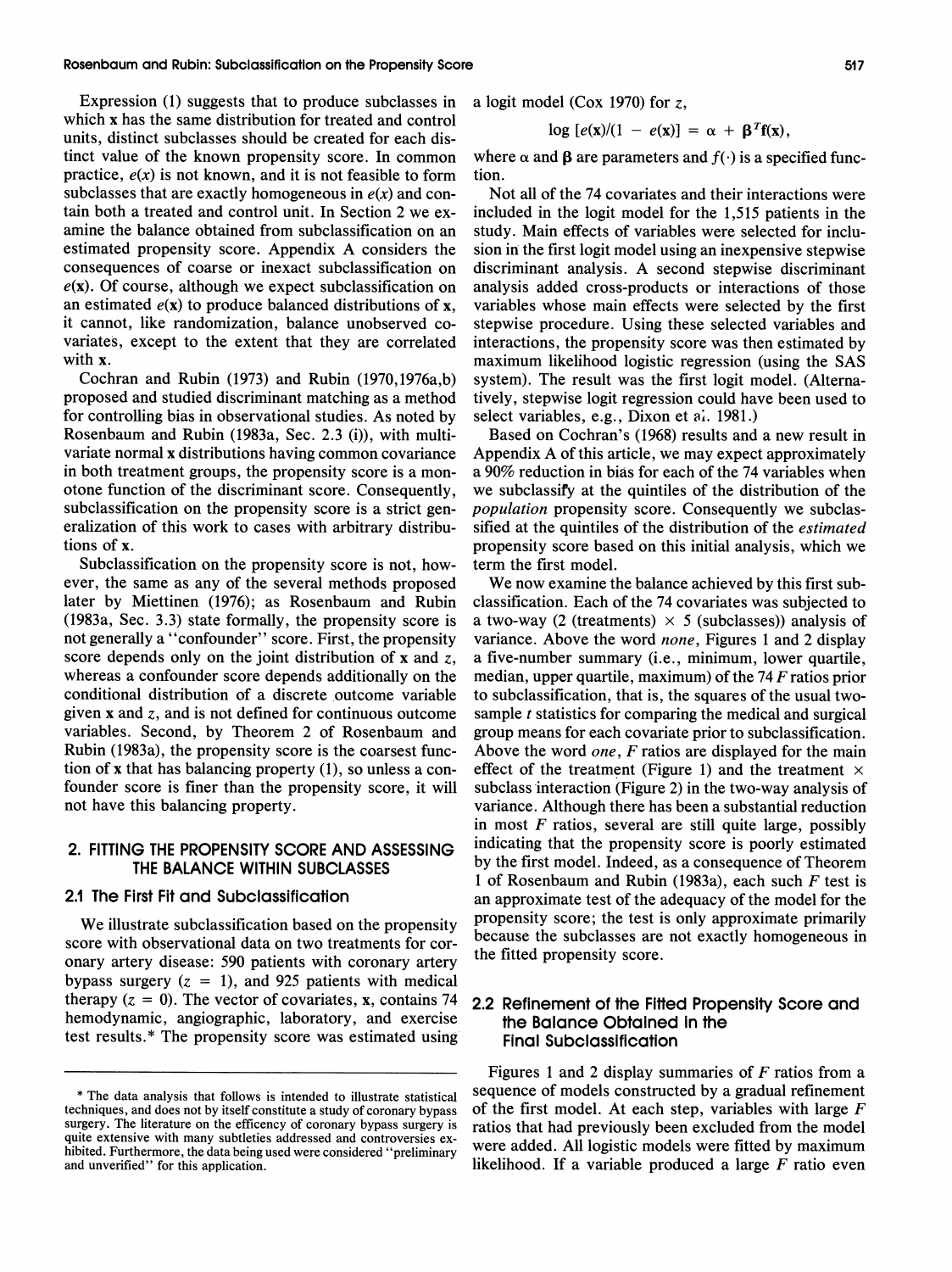Expression (1) suggests that to produce subclasses in which x has the same distribution for treated and control units, distinct subclasses should be created for each distinct value of the known propensity score. In common practice,  $e(x)$  is not known, and it is not feasible to form subclasses that are exactly homogeneous in  $e(x)$  and contain both a treated and control unit. In Section 2 we examine the balance obtained from subclassification on an estimated propensity score. Appendix A considers the consequences of coarse or inexact subclassification on  $e(x)$ . Of course, although we expect subclassification on an estimated  $e(x)$  to produce balanced distributions of x, it cannot, like randomization, balance unobserved covariates, except to the extent that they are correlated with x.

Cochran and Rubin (1973) and Rubin (1970,1976a,b) proposed and studied discriminant matching as a method for controlling bias in observational studies. As noted by Rosenbaum and Rubin (1983a, Sec. 2.3 (i)), with multivariate normal x distributions having common covariance in both treatment groups, the propensity score is a monotone function of the discriminant score. Consequently, subclassification on the propensity score is a strict generalization of this work to cases with arbitrary distributions of x.

Subclassification on the propensity score is not, however, the same as any of the several methods proposed later by Miettinen (1976); as Rosenbaum and Rubin (1983a, Sec. 3.3) state formally, the propensity score is not generally a "confounder" score. First, the propensity score depends only on the joint distribution of x and z, whereas a confounder score depends additionally on the conditional distribution of a discrete outcome variable given  $x$  and  $z$ , and is not defined for continuous outcome variables. Second, by Theorem 2 of Rosenbaum and Rubin (1983a), the propensity score is the coarsest function of x that has balancing property (I), so unless a confounder score is finer than the propensity score, it will not have this balancing property.

# **2. FITTING THE PROPENSITY SCORE AND ASSESSING THE BALANCE WITHIN SUBCLASSES**

# **2.1 The First Fit and Subclassification**

We illustrate subclassification based on the propensity score with observational data on two treatments for coronary artery disease: 590 patients with coronary artery bypass surgery  $(z = 1)$ , and 925 patients with medical therapy  $(z = 0)$ . The vector of covariates, x, contains 74 hemodynamic, angiographic, laboratory, and exercise test results.\* The propensity score was estimated using

a logit model (Cox 1970) for z,

$$
\log [e(\mathbf{x})/(1 - e(\mathbf{x})] = \alpha + \beta^{T} \mathbf{f}(\mathbf{x}),
$$

where  $\alpha$  and  $\beta$  are parameters and  $f(\cdot)$  is a specified function.

Not all of the 74 covariates and their interactions were included in the logit model for the 1,515 patients in the study. Main effects of variables were selected for inclusion in the first logit model using an inexpensive stepwise discriminant analysis. A second stepwise discriminant analysis added cross-products or interactions of those variables whose main effects were selected by the first stepwise procedure. Using these selected variables and interactions, the propensity score was then estimated by maximum likelihood logistic regression (using the SAS system). The result was the first logit model. (Alternatively, stepwise logit regression could have been used to select variables, e.g., Dixon et al. 1981.)

Based on Cochran's (1968) results and a new result in Appendix A of this article, we may expect approximately a 90% reduction in bias for each of the 74 variables when we subclassify at the quintiles of the distribution of the population propensity score. Consequently we subclassified at the quintiles of the distribution of the estimated propensity score based on this initial analysis, which we term the first model.

We now examine the balance achieved by this first subclassification. Each of the 74 covariates was subjected to a two-way (2 (treatments)  $\times$  5 (subclasses)) analysis of variance. Above the word none, Figures 1 and 2 display a five-number summary (i.e., minimum, lower quartile, median, upper quartile, maximum) of the  $74 F$  ratios prior to subclassification, that is, the squares of the usual twosample  $t$  statistics for comparing the medical and surgical group means for each covariate prior to subclassification. Above the word one, F ratios are displayed for the main effect of the treatment (Figure 1) and the treatment  $\times$ subclass interaction (Figure 2) in the two-way analysis of variance. Although there has been a substantial reduction in most  $F$  ratios, several are still quite large, possibly indicating that the propensity score is poorly estimated by the first model. Indeed, as a consequence of Theorem 1 of Rosenbaum and Rubin (1983a), each such  $F$  test is an approximate test of the adequacy of the model for the propensity score; the test is only approximate primarily because the subclasses are not exactly homogeneous in the fitted propensity score.

# **2.2 Refinement of the Fitted Propensity Score and the Balance Obtained in the Final Subclassification**

Figures 1 and 2 display summaries of  $F$  ratios from a sequence of models constructed by a gradual refinement of the first model. At each step, variables with large  $F$ ratios that had previously been excluded from the model were added. All logistic models were fitted by maximum likelihood. If a variable produced a large  $F$  ratio even

<sup>\*</sup> The data analysis that follows is intended to illustrate statistical techniques, and does not by itself constitute a study of coronary bypass surgery. The literature on the efficency of coronary bypass surgery is quite extensive with many subtleties addressed and controversies exhibited. Furthermore, the data being used were considered "preliminary and unverified" for this application.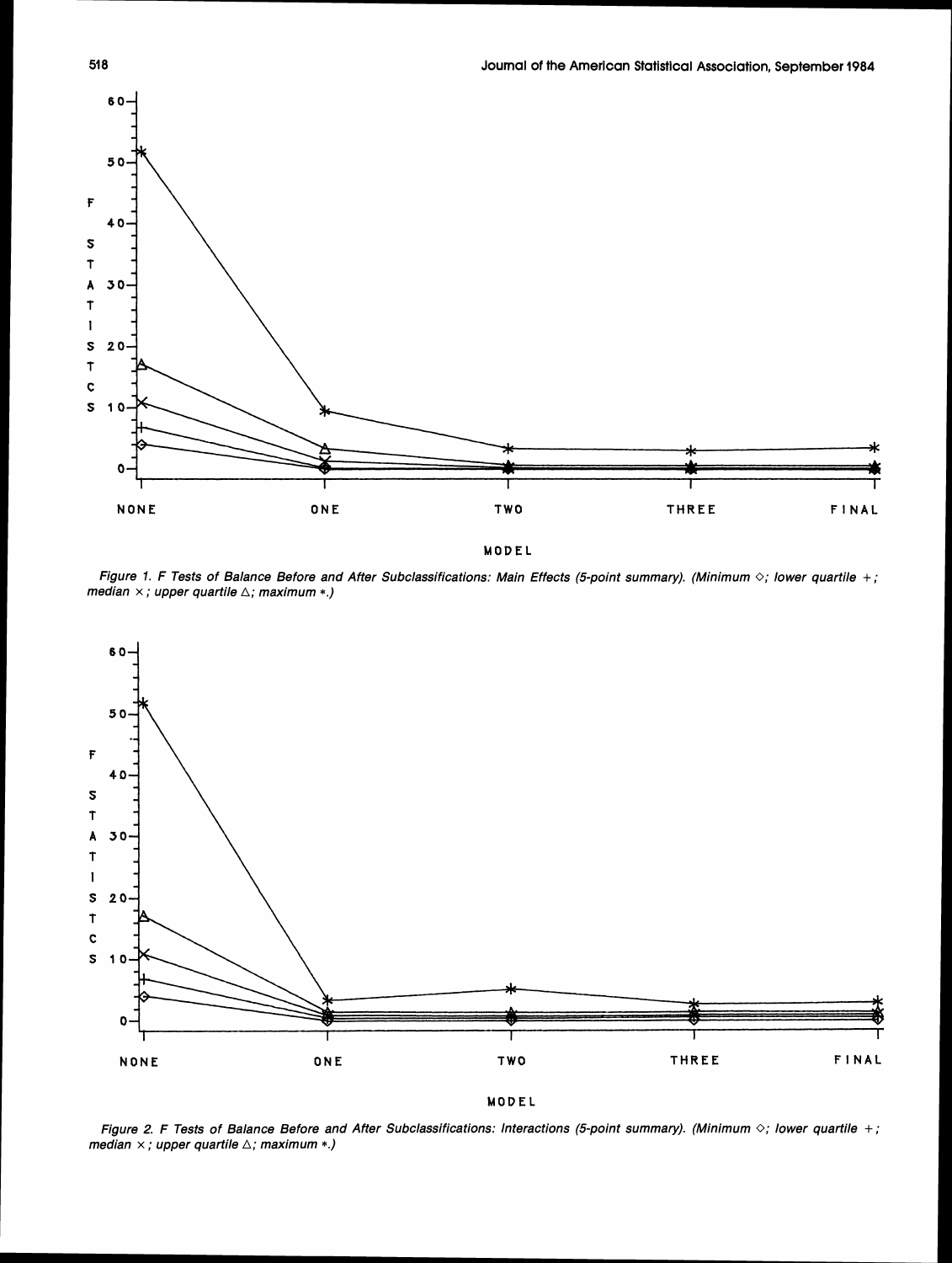

**MODEL** 

**Figure 1. F Tests of Balance Before and After Subclassifications: Main Effects (5-point summary). (Minimum** 0; **lower quartile** +; **median x** ;**upper quartile A; maximum** \*.)



**MODEL** 

**Figure 2. F Tests of Balance Before and After Subclassifications: Interactions (5-point summary). (Minimum** 0; **lower quartile** + ; **median x** ;**upper quartile** A;**maximum** \*.)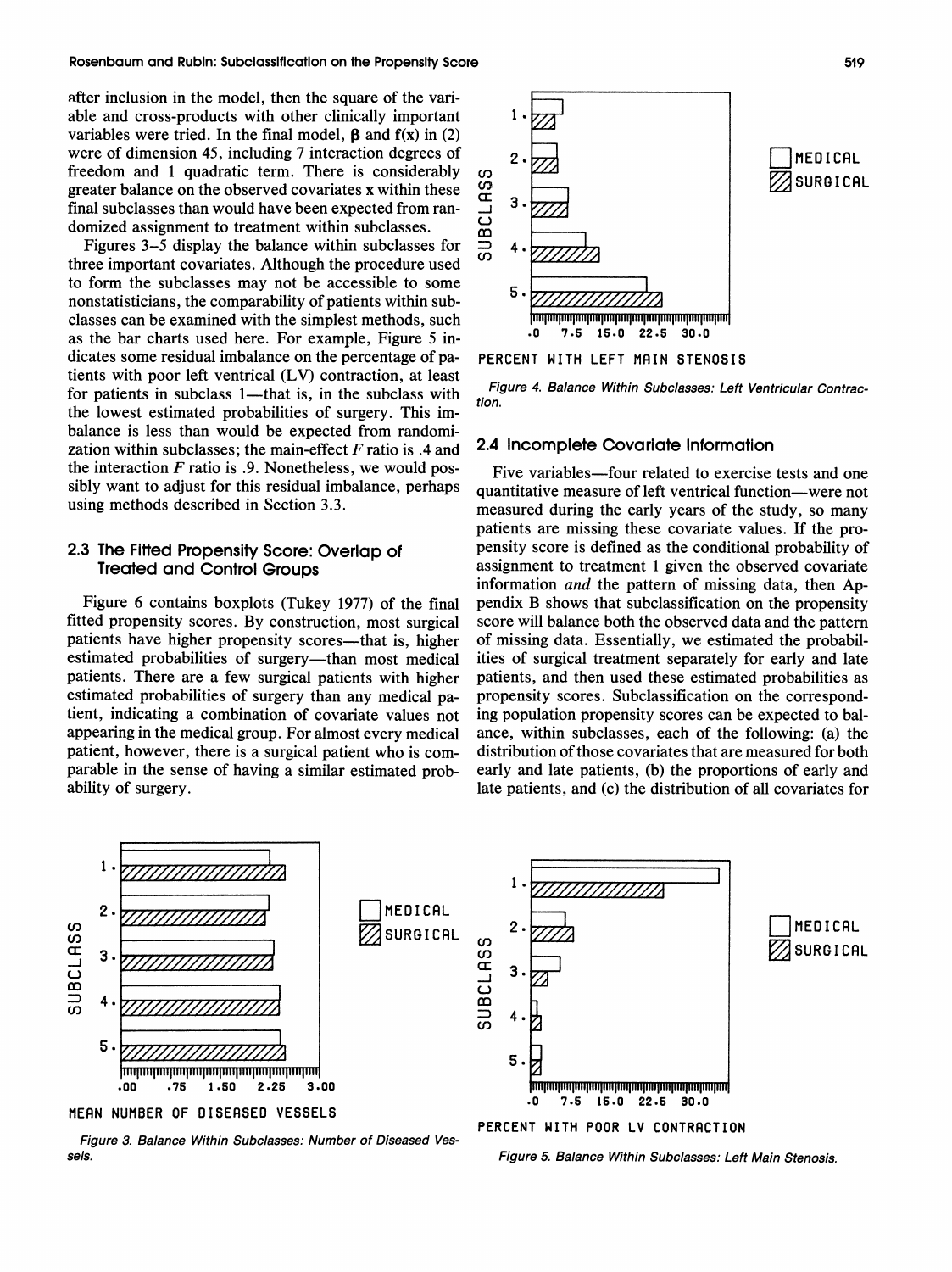after inclusion in the model, then the square of the variable and cross-products with other clinically important variables were tried. In the final model,  $\beta$  and  $f(x)$  in (2) were of dimension 45, including 7 interaction degrees of freedom and 1 quadratic term. There is considerably greater balance on the observed covariates x within these final subclasses than would have been expected from randomized assignment to treatment within subclasses.

Figures 3-5 display the balance within subclasses for three important covariates. Although the procedure used to form the subclasses may not be accessible to some nonstatisticians, the comparability of patients within subclasses can be examined with the simplest methods, such as the bar charts used here. For example, Figure 5 indicates some residual imbalance on the percentage of patients with poor left ventrical (LV) contraction, at least for patients in subclass  $1$ —that is, in the subclass with the lowest estimated probabilities of surgery. This imbalance is less than would be expected from randomization within subclasses; the main-effect Fratio is **.4** and the interaction  $F$  ratio is .9. Nonetheless, we would possibly want to adjust for this residual imbalance, perhaps using methods described in Section 3.3.

# **2.3 The Fitted Propensity Score:Overlap of Treated and Control Groups**

Figure 6 contains boxplots (Tukey 1977) of the final fitted propensity scores. By construction, most surgical patients have higher propensity scores—that is, higher estimated probabilities of surgery—than most medical patients. There are a few surgical patients with higher estimated probabilities of surgery than any medical patient, indicating a combination of covariate values not appearing in the medical group. For almost every medical patient, however, there is a surgical patient who is comparable in the sense of having a similar estimated probability of surgery.



### **PERCENT WITH LEFT NRIN STENOSIS**

**Figure 4. Balance Within Subclasses: Left Ventricular Contraction.** 

## **2.4 Incomplete Covariate Information**

Five variables-four related to exercise tests and one quantitative measure of left ventrical function-were not measured during the early years of the study, so many patients are missing these covariate values. If the propensity score is defined as the conditional probability of assignment to treatment 1 given the observed covariate information and the pattern of missing data, then Appendix B shows that subclassification on the propensity score will balance both the observed data and the pattern of missing data. Essentially, we estimated the probabilities of surgical treatment separately for early and late patients, and then used these estimated probabilities as propensity scores. Subclassification on the corresponding population propensity scores can be expected to balance, within subclasses, each of the following: (a) the distribution of those covariates that are measured for both early and late patients, (b) the proportions of early and late patients, and (c) the distribution of all covariates for



**Figure 3. Balance Within Subclasses: Number of Diseased Vessels. Figure 5. Balance Within Subclasses: Left Main Stenosis.** 



**PERCENT WITH POOR LV CONTRACTION**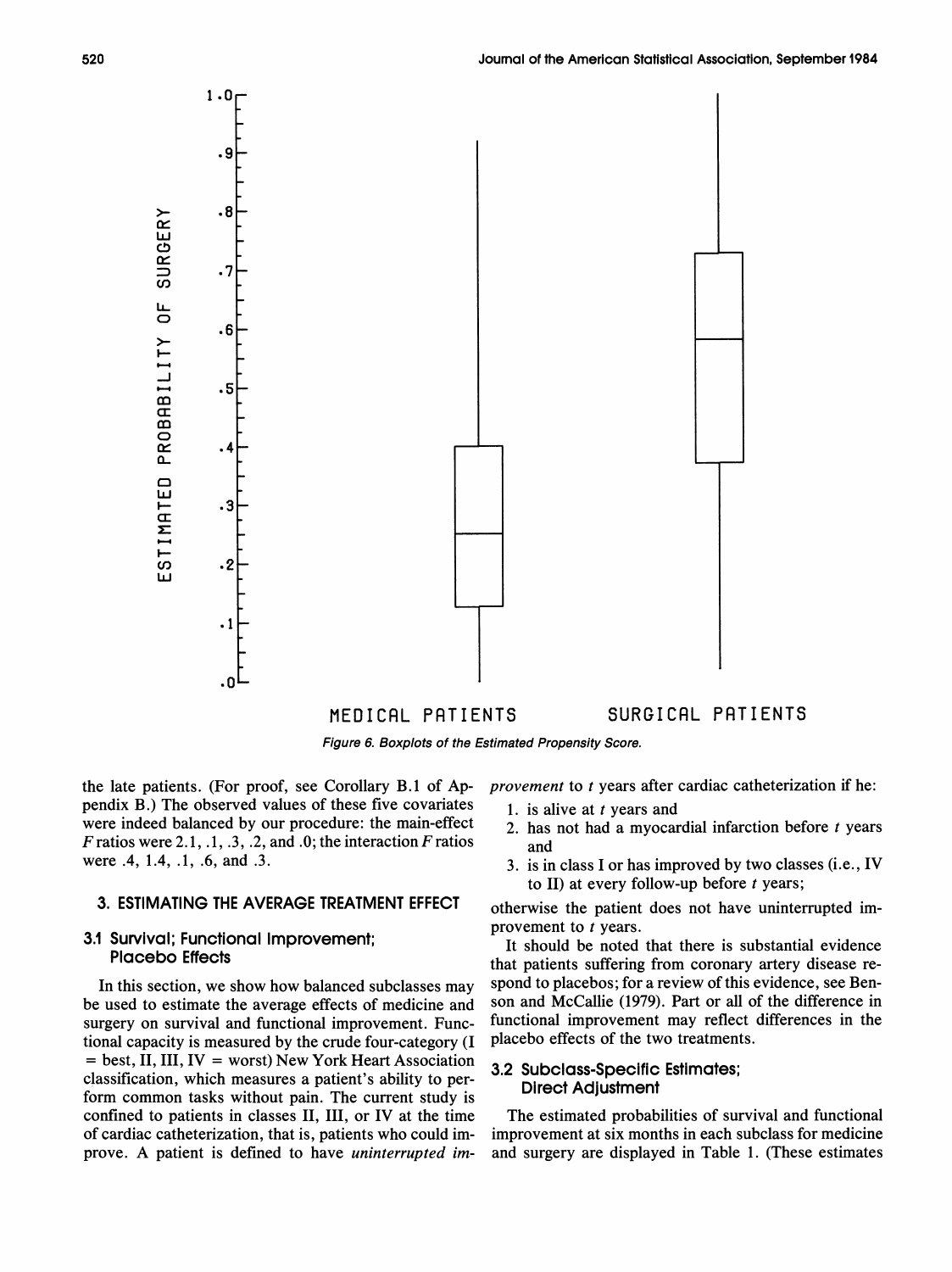



the late patients. (For proof, see Corollary B.l of Ap- *provement* to *t* years after cardiac catheterization if he: pendix B.) The observed values of these five covariates 1. is alive at t years and were indeed balanced by our procedure: the main-effect  $\frac{1}{2}$  has not had a myocal were indeed balanced by our procedure: the main-effect  $F$  ratios  $F$  ratios were 2.1, .1, .3, .2, and .0; the interaction  $F$  ratios and  $F$  were .4, 1.4, .1, .6, and .3.

# **3. ESTIMATING THE AVERAGE TREATMENT EFFECT** otherwise the patient does not have uninterrupted im-

surgery on survival and functional improvement. Func- functional improvement may reflect tional capacity is measured by the crude four-category (I) placebo effects of the two treatments. tional capacity is measured by the crude four-category (I <sup>=</sup> best, 11,111, IV <sup>=</sup> worst) New York Heart Association **3.2 Subclass-Specific Estimates;** classification, which measures a patient's ability to perform common tasks without pain. The current study is

- 
- 
- 3. is in class I or has improved by two classes (i.e., IV to 11) at every follow-up before *t* years;

**3.1 Survival; Functional Improvement; 3.1 Survival; Functional Improvement; It should be noted that there is substantial evidence Placebo Effects that patients suffering from coronary artery disease re-**In this section, we show how balanced subclasses may spond to placebos; for a review of this evidence, see Benbe used to estimate the average effects of medicine and son and McCallie (1979). Part or all of the difference in<br>surgery on survival and functional improvement. Functional improvement may reflect differences in the

confined to patients in classes II, III, or IV at the time The estimated probabilities of survival and functional of cardiac catheterization, that is, patients who could im- improvement at six months in each subclass for medicine prove. A patient is defined to have *uninterrupted im-* and surgery are displayed in Table 1. (These estimates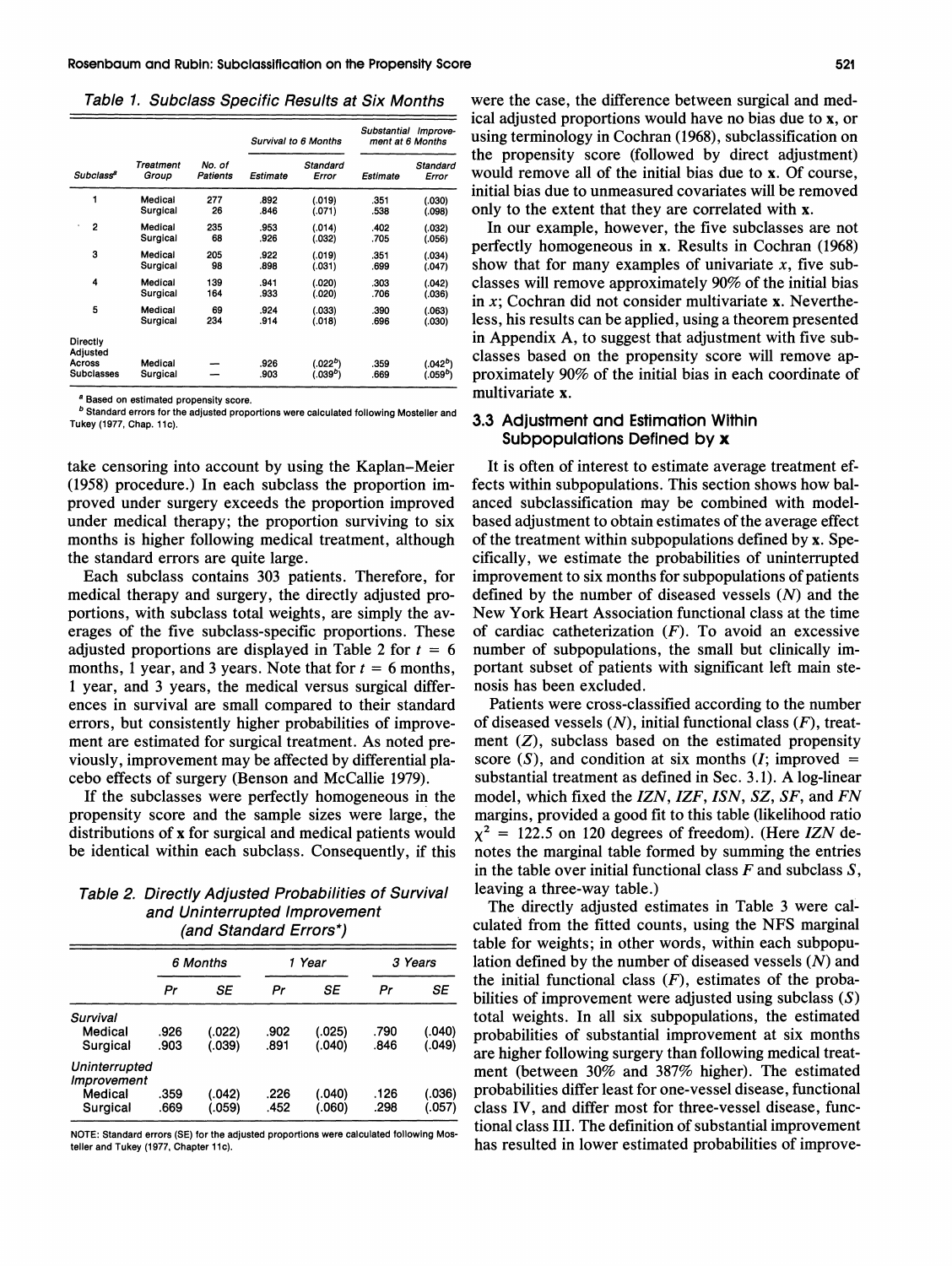- - Table 1. Subclass Specific Results at Six Months

|                       |                    |                    | Survival to 6 Months |                      | Substantial | Improve-<br>ment at 6 Months |
|-----------------------|--------------------|--------------------|----------------------|----------------------|-------------|------------------------------|
| Subclass <sup>a</sup> | Treatment<br>Group | No. of<br>Patients | Estimate             | Standard<br>Error    | Estimate    | Standard<br>Error            |
| 1                     | Medical            | 277                | .892                 | (.019)               | .351        | (.030)                       |
|                       | Surgical           | 26                 | .846                 | (.071)               | .538        | (.098)                       |
| 2                     | Medical            | 235                | .953                 | (.014)               | .402        | (.032)                       |
|                       | Surgical           | 68                 | .926                 | (.032)               | .705        | (.056)                       |
| 3                     | Medical            | 205                | .922                 | (.019)               | .351        | (.034)                       |
|                       | Surgical           | 98                 | .898                 | (.031)               | .699        | (.047)                       |
| 4                     | Medical            | 139                | .941                 | (.020)               | .303        | (.042)                       |
|                       | Surgical           | 164                | .933                 | (.020)               | .706        | (.036)                       |
| 5                     | Medical            | 69                 | .924                 | (.033)               | .390        | (.063)                       |
|                       | Surgical           | 234                | .914                 | (.018)               | .696        | (.030)                       |
| Directly<br>Adjusted  |                    |                    |                      |                      |             |                              |
| Across                | Medical            |                    | .926                 | (.022 <sup>b</sup> ) | .359        | (.042 <sup>b</sup> )         |
| <b>Subclasses</b>     | Surgical           |                    | .903                 | (.039°)              | .669        | (.059 <sup>b</sup> )         |

**<sup>a</sup>Based on estimated propensity score.** 

**Standard errors for the adjusted proportions were calculated following Mosteller and**  Tukey (1977, Chap. 11c).

take censoring into account by using the Kaplan-Meier (1958) procedure.) In each subclass the proportion improved under surgery exceeds the proportion improved under medical therapy; the proportion surviving to six months is higher following medical treatment, although the standard errors are quite large.

Each subclass contains 303 patients. Therefore, for medical therapy and surgery, the directly adjusted proportions, with subclass total weights, are simply the averages of the five subclass-specific proportions. These adjusted proportions are displayed in Table 2 for  $t = 6$ months, 1 year, and 3 years. Note that for  $t = 6$  months, 1 year, and 3 years, the medical versus surgical differences in survival are small compared to their standard errors, but consistently higher probabilities of improvement are estimated for surgical treatment. As noted previously, improvement may be affected by differential placebo effects of surgery (Benson and McCallie 1979).

If the subclasses were perfectly homogeneous in the propensity score and the sample sizes were large, the distributions of **x** for surgical and medical patients would be identical within each subclass. Consequently, if this

Table **2.** Directly Adjusted Probabilities of Survival and Uninterrupted lmprovement (and Standard Errors\*)

|                              |      | 6 Months |      | 1 Year |      | 3 Years |  |
|------------------------------|------|----------|------|--------|------|---------|--|
|                              | Pr   | SE       | Pr   | SE     | Pr   | SE      |  |
| Survival                     |      |          |      |        |      |         |  |
| Medical                      | .926 | (.022)   | .902 | (.025) | .790 | (.040)  |  |
| Surgical                     | .903 | (.039)   | .891 | (.040) | .846 | (.049)  |  |
| Uninterrupted<br>Improvement |      |          |      |        |      |         |  |
| Medical                      | .359 | (.042)   | .226 | (.040) | .126 | (.036)  |  |
| Surgical                     | .669 | (.059)   | .452 | (.060) | .298 | (.057)  |  |

**NOTE: Standard errors (SE) for the adjusted proportions were calculated following Mos** teller and Tukey (1977, Chapter 11c).

were the case, the difference between surgical and medical adjusted proportions would have no bias due to **x,** or using terminology in Cochran (1968), subclassification on the propensity score (followed by direct adjustment) would remove all of the initial bias due to **x.** Of course, initial bias due to unmeasured covariates will be removed only to the extent that they are correlated with **x.** 

In our example, however, the five subclasses are not perfectly homogeneous in **x.** Results in Cochran (1968) show that for many examples of univariate  $x$ , five subclasses will remove approximately 90% of the initial bias in x; Cochran did not consider multivariate **x.** Nevertheless, his results can be applied, using a theorem presented in Appendix A, to suggest that adjustment with five subclasses based on the propensity score will remove approximately 90% of the initial bias in each coordinate of multivariate **x.** 

# **3.3 Adjustment and Estimation Within Subpopulations Defined by x**

It is often of interest to estimate average treatment effects within subpopulations. This section shows how balanced subclassification may be combined with modelbased adjustment to obtain estimates of the average effect of the treatment within subpopulations defined by **x.** Specifically, we estimate the probabilities of uninterrupted improvement to six months for subpopulations of patients defined by the number of diseased vessels  $(N)$  and the New York Heart Association functional class at the time of cardiac catheterization  $(F)$ . To avoid an excessive number of subpopulations, the small but clinically important subset of patients with significant left main stenosis has been excluded.

Patients were cross-classified according to the number of diseased vessels  $(N)$ , initial functional class  $(F)$ , treatment  $(Z)$ , subclass based on the estimated propensity score  $(S)$ , and condition at six months  $(I;$  improved = substantial treatment as defined in Sec. 3.1). A log-linear model, which fixed the  $IZN$ ,  $IZF$ ,  $ISN$ ,  $SZ$ ,  $SF$ , and  $FN$ margins, provided a good fit to this table (likelihood ratio  $\chi^2$  = 122.5 on 120 degrees of freedom). (Here *IZN* denotes the marginal table formed by summing the entries in the table over initial functional class  $F$  and subclass  $S$ , leaving a three-way table.)

The directly adjusted estimates in Table 3 were calculated from the fitted counts, using the NFS marginal table for weights; in other words, within each subpopulation defined by the number of diseased vessels  $(N)$  and the initial functional class  $(F)$ , estimates of the probabilities of improvement were adjusted using subclass  $(S)$ total weights. In all six subpopulations, the estimated probabilities of substantial improvement at six months are higher following surgery than following medical treatment (between 30% and 387% higher). The estimated probabilities differ least for one-vessel disease, functional class IV, and differ most for three-vessel disease, functional class 111. The definition of substantial improvement has resulted in lower estimated probabilities of improve-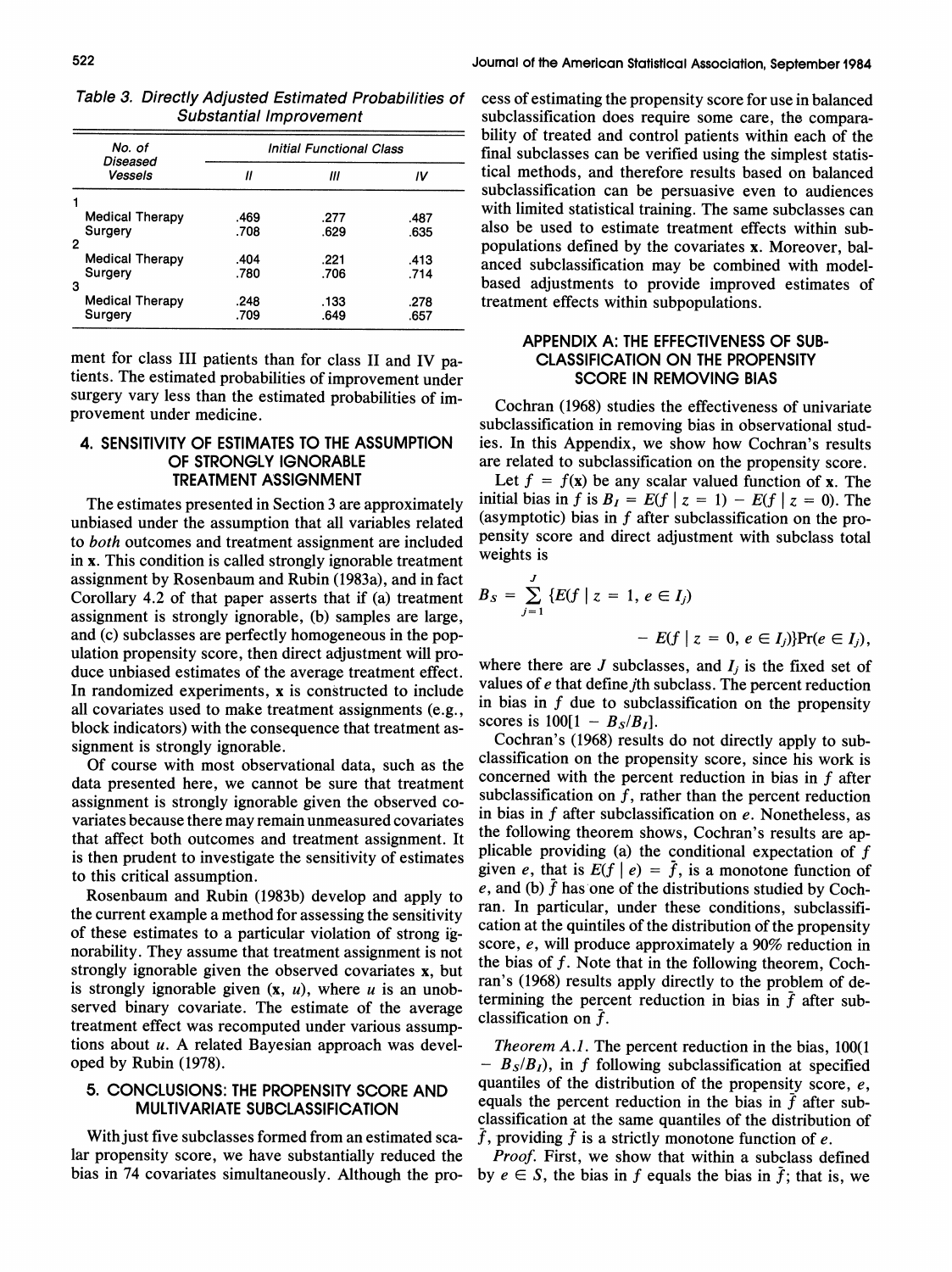| No. of<br>Diseased          | <b>Initial Functional Class</b> |      |      |  |  |
|-----------------------------|---------------------------------|------|------|--|--|
| Vessels                     | 11                              | Ш    | IV   |  |  |
|                             |                                 |      |      |  |  |
| <b>Medical Therapy</b>      | .469                            | .277 | .487 |  |  |
| Surgery                     | .708                            | .629 | .635 |  |  |
| 2<br><b>Medical Therapy</b> | .404                            | .221 | .413 |  |  |
| Surgery                     | .780                            | .706 | .714 |  |  |
| з                           |                                 |      |      |  |  |
| <b>Medical Therapy</b>      | .248                            | .133 | .278 |  |  |
| Surgery                     | .709                            | .649 | .657 |  |  |

Table 3. Directly Adjusted Estimated Probabilities of Substantial Improvement

ment for class I11 patients than for class I1 and IV patients. The estimated probabilities of improvement under surgery vary less than the estimated probabilities of improvement under medicine.

# **4. SENSITIVITY OF ESTIMATES TO THE ASSUMPTION OF STRONGLY IGNORABLE TREATMENT ASSIGNMENT**

The estimates presented in Section **3** are approximately unbiased under the assumption that all variables related to both outcomes and treatment assignment are included in x. This condition is called strongly ignorable treatment assignment by Rosenbaum and Rubin (1983a), and in fact Corollary 4.2 of that paper asserts that if (a) treatment assignment is strongly ignorable, (b) samples are large, and (c) subclasses are perfectly homogeneous in the population propensity score, then direct adjustment will produce unbiased estimates of the average treatment effect. In randomized experiments, x is constructed to include all covariates used to make treatment assignments (e.g., block indicators) with the consequence that treatment assignment is strongly ignorable.

Of course with most observational data, such as the data presented here, we cannot be sure that treatment assignment is strongly ignorable given the observed covariates because there may remain unmeasured covariates that affect both outcomes and treatment assignment. It is then prudent to investigate the sensitivity of estimates to this critical assumption.

Rosenbaum and Rubin (1983b) develop and apply to the current example a method for assessing the sensitivity of these estimates to a particular violation of strong ignorability. They assume that treatment assignment is not strongly ignorable given the observed covariates x, but is strongly ignorable given  $(x, u)$ , where u is an unobserved binary covariate. The estimate of the average treatment effect was recomputed under various assumptions about  $u$ . A related Bayesian approach was developed by Rubin (1978).

# **5. CONCLUSIONS: THE PROPENSITY SCORE AND MULTIVARIATE SUBCLASSIFICATION**

With just five subclasses formed from an estimated scalar propensity score, we have substantially reduced the bias in 74 covariates simultaneously. Although the process of estimating the propensity score for use in balanced subclassification does require some care, the comparability of treated and control patients within each of the final subclasses can be verified using the simplest statistical methods, and therefore results based on balanced subclassification can be persuasive even to audiences with limited statistical training. The same subclasses can also be used to estimate treatment effects within subpopulations defined by the covariates x. Moreover, balanced subclassification may be combined with modelbased adjustments to provide improved estimates of treatment effects within subpopulations.

# **APPENDIX A: THE EFFECTIVENESS OF SUB- CLASSIFICATION ON THE PROPENSITY SCORE IN REMOVING BIAS**

Cochran (1968) studies the effectiveness of univariate subclassification in removing bias in observational studies. In this Appendix, we show how Cochran's results are related to subclassification on the propensity score.

Let  $f = f(x)$  be any scalar valued function of x. The initial bias in f is  $B_I = E(f | z = 1) - E(f | z = 0)$ . The (asymptotic) bias in  $f$  after subclassification on the propensity score and direct adjustment with subclass total weights is

$$
B_S = \sum_{j=1}^{J} \{ E(f \mid z = 1, e \in I_j) -E(f \mid z = 0, e \in I_j) \} \text{Pr}(e \in I_j),
$$

where there are  $J$  subclasses, and  $I_j$  is the fixed set of values of e that define jth subclass. The percent reduction in bias in f due to subclassification on the propensity scores is  $100[1 - B_s/B_I]$ .

Cochran's (1968) results do not directly apply to subclassification on the propensity score, since his work is concerned with the percent reduction in bias in  $f$  after subclassification on  $f$ , rather than the percent reduction in bias in f after subclassification on e. Nonetheless, as the following theorem shows, Cochran's results are applicable providing (a) the conditional expectation of  $f$ given e, that is  $E(f \mid e) = \overline{f}$ , is a monotone function of e, and (b)  $\tilde{f}$  has one of the distributions studied by Cochran. In particular, under these conditions, subclassification at the quintiles of the distribution of the propensity score, e, will produce approximately a 90% reduction in the bias of  $f$ . Note that in the following theorem, Cochran's (1968) results apply directly to the problem of determining the percent reduction in bias in  $\bar{f}$  after subclassification on  $\bar{f}$ .

Theorem *A.1.* The percent reduction in the bias, 100(1  $-$  B<sub>S</sub>/B<sub>I</sub>), in f following subclassification at specified quantiles of the distribution of the propensity score,  $e$ , equals the percent reduction in the bias in  $\bar{f}$  after subclassification at the same quantiles of the distribution of  $\bar{f}$ , providing  $\bar{f}$  is a strictly monotone function of e.

Proof. First, we show that within a subclass defined by  $e \in S$ , the bias in f equals the bias in f; that is, we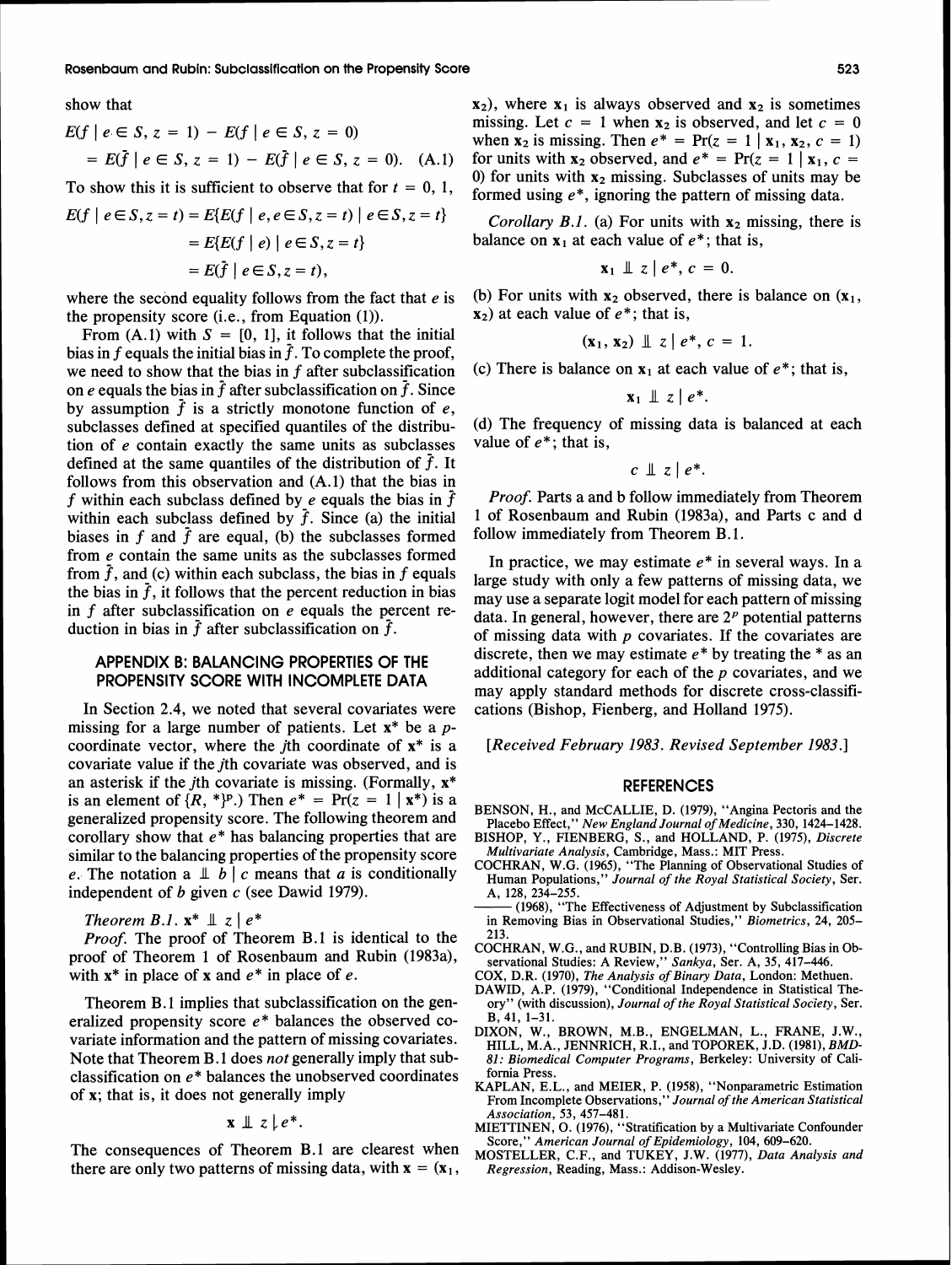show that

$$
E(f \mid e \in S, z = 1) - E(f \mid e \in S, z = 0)
$$
  
=  $E(\bar{f} \mid e \in S, z = 1) - E(\bar{f} \mid e \in S, z = 0)$ . (A.1)

To show this it is sufficient to observe that for  $t = 0, 1$ ,  $E(f | e \in S, z = t) = E{E(f | e, e \in S, z = t) | e \in S, z = t}$  $= E{E(f | e) | e \in S, z = t}$  $= E(\overline{f} \mid e \in S, z = t).$ 

where the second equality follows from the fact that  $e$  is the propensity score (i.e., from Equation (1)).

From  $(A,1)$  with  $S = [0, 1]$ , it follows that the initial bias in f equals the initial bias in  $\bar{f}$ . To complete the proof, we need to show that the bias in f after subclassification on e equals the bias in  $\bar{f}$  after subclassification on  $\bar{f}$ . Since by assumption  $\bar{f}$  is a strictly monotone function of e, subclasses defined at specified quantiles of the distribution of e contain exactly the same units as subclasses defined at the same quantiles of the distribution of  $\bar{f}$ . It follows from this observation and (A.l) that the bias in f within each subclass defined by e equals the bias in  $\bar{f}$ within each subclass defined by  $f$ . Since (a) the initial biases in f and  $\bar{f}$  are equal, (b) the subclasses formed from e contain the same units as the subclasses formed from  $\bar{f}$ , and (c) within each subclass, the bias in f equals the bias in  $\bar{f}$ , it follows that the percent reduction in bias in  $f$  after subclassification on  $e$  equals the percent reduction in bias in  $\bar{f}$  after subclassification on  $\bar{f}$ .

# **APPENDIX B: BALANCING PROPERTIES OF THE PROPENSITY SCORE WITH INCOMPLETE DATA**

In Section 2.4, we noted that several covariates were missing for a large number of patients. Let  $x^*$  be a pcoordinate vector, where the *j*th coordinate of  $x^*$  is a covariate value if the *i*th covariate was observed, and is an asterisk if the *j*th covariate is missing. (Formally,  $x^*$ is an element of  $\{R, * \}$ <sup>p</sup>.) Then  $e^* = \Pr(z = 1 | x^*)$  is a generalized propensity score. The following theorem and corollary show that  $e^*$  has balancing properties that are similar to the balancing properties of the propensity score e. The notation a  $\perp b \mid c$  means that a is conditionally independent of  $b$  given  $c$  (see Dawid 1979).

Theorem B.1.  $\mathbf{x}^* \perp z \mid e^*$ 

Proof. The proof of Theorem B.l is identical to the proof of Theorem 1 of Rosenbaum and Rubin (1983a), with  $x^*$  in place of x and  $e^*$  in place of e.

Theorem B.1 implies that subclassification on the generalized propensity score  $e^*$  balances the observed covariate information and the pattern of missing covariates. Note that Theorem B.1 does *not* generally imply that subclassification on  $e^*$  balances the unobserved coordinates of x; that is, it does not generally imply

$$
\mathbf{x} \perp z \mid e^*
$$

The consequences of Theorem B.l are clearest when there are only two patterns of missing data, with  $x = (x_1,$ 

 $x_2$ ), where  $x_1$  is always observed and  $x_2$  is sometimes missing. Let  $c = 1$  when  $x_2$  is observed, and let  $c = 0$ when  $x_2$  is missing. Then  $e^* = Pr(z = 1 | x_1, x_2, c = 1)$ for units with  $x_2$  observed, and  $e^* = Pr(z = 1 | x_1, c =$ 0) for units with  $x_2$  missing. Subclasses of units may be formed using  $e^*$ , ignoring the pattern of missing data.

*Corollary B.1.* (a) For units with  $x_2$  missing, there is balance on  $x_1$  at each value of  $e^*$ ; that is,

$$
\mathbf{x}_1 \perp \mathbf{z} \mid e^*, c = 0.
$$

(b) For units with  $x_2$  observed, there is balance on  $(x_1, x_2)$  $x<sub>2</sub>$ ) at each value of  $e^*$ ; that is,

$$
(\mathbf{x}_1,\,\mathbf{x}_2)\perp\!\!\!\perp z\mid e^*,\,c=1.
$$

(c) There is balance on  $x_1$  at each value of  $e^*$ ; that is,

$$
\mathbf{x}_1 \perp \hspace*{-.2mm} \perp z \mid e^*.
$$

(d) The frequency of missing data is balanced at each value of  $e^*$ ; that is,

$$
c \perp z \mid e^*.
$$

Proof. Parts a and b follow immediately from Theorem 1 of Rosenbaum and Rubin (1983a), and Parts c and d follow immediately from Theorem B.1.

In practice, we may estimate  $e^*$  in several ways. In a large study with only a few patterns of missing data, we may use a separate logit model for each pattern of missing data. In general, however, there are  $2<sup>p</sup>$  potential patterns of missing data with  $p$  covariates. If the covariates are discrete, then we may estimate  $e^*$  by treating the  $*$  as an additional category for each of the  $p$  covariates, and we may apply standard methods for discrete cross-classifications (Bishop, Fienberg, and Holland 1975).

[Received February 1983. Revised September 1983.]

# **REFERENCES**

BENSON, H., and McCALLIE, D. (1979), "Angina Pectoris and the Placebo Effect," *New England Journal of Medicine,* 330, 1424-1428. BISHOP, Y., FIENBERG, S., and HOLLAND, P. (1975), *Discrete* 

- *Multivariate Analysis,* Cambridge, Mass.: MIT Press. COCHRAN, W.G. (1965), "The Planning of Observational Studies of
- Human Populations," *Journal of the Royal Statistical Society,* Ser. A, 128, 234-255.
- (1968), "The Effectiveness of Adjustment by Subclassification in Removing Bias in Observational Studies," *Biometries,* 24, 205- 213.
- COCHRAN, W.G., and RUBIN, D.B. (1973), "Controlling Bias in Observational Studies: A Review," *Sankya,* Ser. A, 35, 417-446.
- COX, D.R. (1970), *The Analysis of Binary Data,* London: Methuen.
- DAWID, A.P. (1979), "Conditional Independence in Statistical Theory" (with discussion), *Journal of the Royal Statistical Society,* Ser.  $B, 41, 1-31.$
- DIXON, W., BROWN, M.B., ENGELMAN, L., FRANE, J.W., HILL, M.A., JENNRICH, R.I., and TOPOREK, J.D. (1981), *BMD-*81: *Biomedical Computer Programs,* Berkeley: University of California Press.
- KAPLAN, E.L., and MEIER, P. (1958), "Nonparametric Estimation From Incomplete Observations," *Journal of the American Statistical Association,* 53, 457-481.
- MIETTINEN, O. (1976), "Stratification by a Multivariate Confounder Score," *American Journal of Epidemiology,* 104, 609-620.
- MOSTELLER, C.F., and TUKEY, J.W. (1977), *Data Analysis and Regression,* Reading, Mass.: Addison-Wesley.